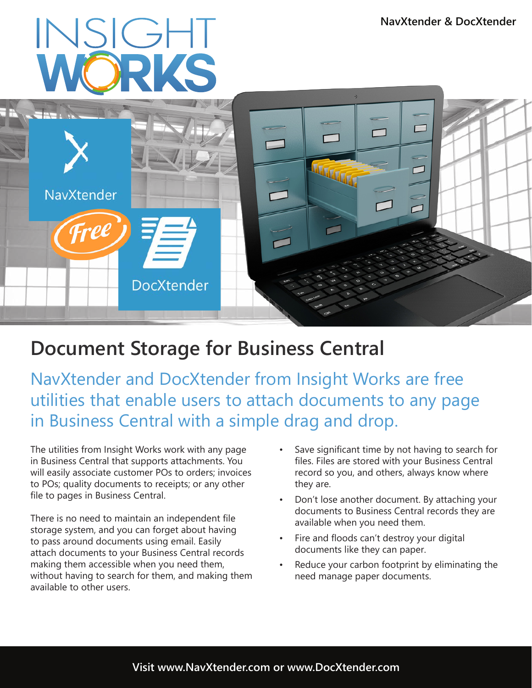## INSIGHT



## **Document Storage for Business Central**

NavXtender and DocXtender from Insight Works are free utilities that enable users to attach documents to any page in Business Central with a simple drag and drop.

The utilities from Insight Works work with any page in Business Central that supports attachments. You will easily associate customer POs to orders; invoices to POs; quality documents to receipts; or any other file to pages in Business Central.

There is no need to maintain an independent file storage system, and you can forget about having to pass around documents using email. Easily attach documents to your Business Central records making them accessible when you need them, without having to search for them, and making them available to other users.

- Save significant time by not having to search for files. Files are stored with your Business Central record so you, and others, always know where they are.
- Don't lose another document. By attaching your documents to Business Central records they are available when you need them.
- Fire and floods can't destroy your digital documents like they can paper.
- Reduce your carbon footprint by eliminating the need manage paper documents.